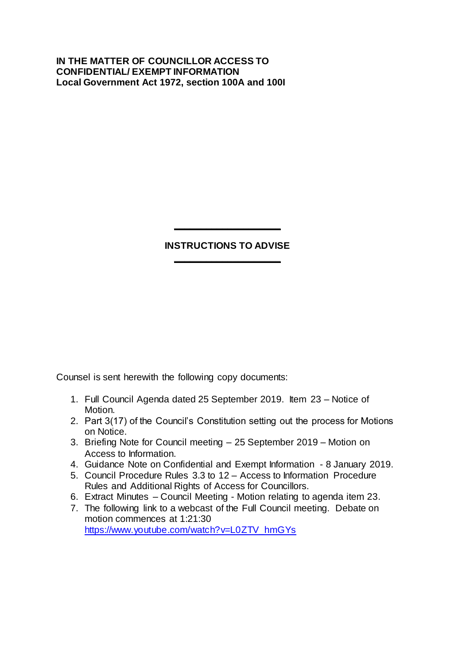## **IN THE MATTER OF COUNCILLOR ACCESS TO CONFIDENTIAL/ EXEMPT INFORMATION Local Government Act 1972, section 100A and 100I**

## **INSTRUCTIONS TO ADVISE \_\_\_\_\_\_\_\_\_\_\_\_\_\_\_\_\_\_\_\_**

**\_\_\_\_\_\_\_\_\_\_\_\_\_\_\_\_\_\_\_\_**

Counsel is sent herewith the following copy documents:

- 1. Full Council Agenda dated 25 September 2019. Item 23 Notice of Motion.
- 2. Part 3(17) of the Council's Constitution setting out the process for Motions on Notice.
- 3. Briefing Note for Council meeting 25 September 2019 Motion on Access to Information.
- 4. Guidance Note on Confidential and Exempt Information 8 January 2019.
- 5. Council Procedure Rules 3.3 to 12 Access to Information Procedure Rules and Additional Rights of Access for Councillors.
- 6. Extract Minutes Council Meeting Motion relating to agenda item 23.
- 7. The following link to a webcast of the Full Council meeting. Debate on motion commences at 1:21:30 [https://www.youtube.com/watch?v=L0ZTV\\_hmGYs](https://www.youtube.com/watch?v=L0ZTV_hmGYs)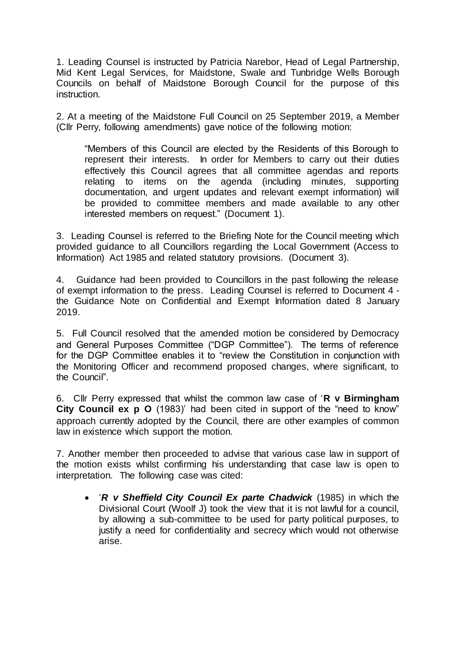1. Leading Counsel is instructed by Patricia Narebor, Head of Legal Partnership, Mid Kent Legal Services, for Maidstone, Swale and Tunbridge Wells Borough Councils on behalf of Maidstone Borough Council for the purpose of this instruction.

2. At a meeting of the Maidstone Full Council on 25 September 2019, a Member (Cllr Perry, following amendments) gave notice of the following motion:

"Members of this Council are elected by the Residents of this Borough to represent their interests. In order for Members to carry out their duties effectively this Council agrees that all committee agendas and reports relating to items on the agenda (including minutes, supporting documentation, and urgent updates and relevant exempt information) will be provided to committee members and made available to any other interested members on request." (Document 1).

3. Leading Counsel is referred to the Briefing Note for the Council meeting which provided guidance to all Councillors regarding the Local Government (Access to Information) Act 1985 and related statutory provisions. (Document 3).

4. Guidance had been provided to Councillors in the past following the release of exempt information to the press. Leading Counsel is referred to Document 4 the Guidance Note on Confidential and Exempt Information dated 8 January 2019.

5. Full Council resolved that the amended motion be considered by Democracy and General Purposes Committee ("DGP Committee"). The terms of reference for the DGP Committee enables it to "review the Constitution in conjunction with the Monitoring Officer and recommend proposed changes, where significant, to the Council".

6. Cllr Perry expressed that whilst the common law case of '**R v Birmingham City Council ex p O** (1983)' had been cited in support of the "need to know" approach currently adopted by the Council, there are other examples of common law in existence which support the motion.

7. Another member then proceeded to advise that various case law in support of the motion exists whilst confirming his understanding that case law is open to interpretation. The following case was cited:

 '*R v Sheffield City Council Ex parte Chadwick* (1985) in which the Divisional Court (Woolf J) took the view that it is not lawful for a council, by allowing a sub-committee to be used for party political purposes, to justify a need for confidentiality and secrecy which would not otherwise arise.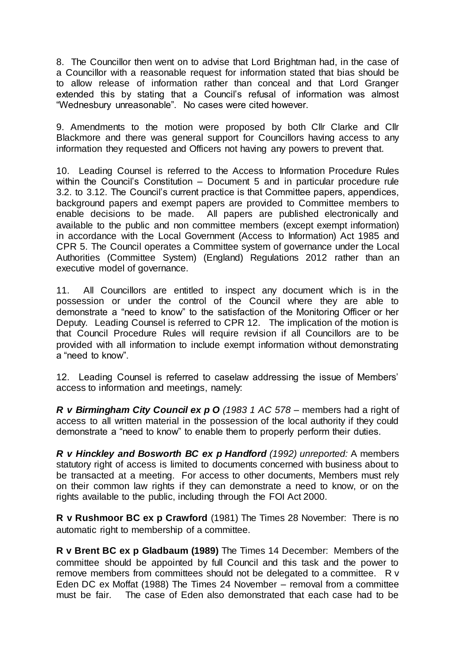8. The Councillor then went on to advise that Lord Brightman had, in the case of a Councillor with a reasonable request for information stated that bias should be to allow release of information rather than conceal and that Lord Granger extended this by stating that a Council's refusal of information was almost "Wednesbury unreasonable". No cases were cited however.

9. Amendments to the motion were proposed by both Cllr Clarke and Cllr Blackmore and there was general support for Councillors having access to any information they requested and Officers not having any powers to prevent that.

10. Leading Counsel is referred to the Access to Information Procedure Rules within the Council's Constitution – Document 5 and in particular procedure rule 3.2. to 3.12. The Council's current practice is that Committee papers, appendices, background papers and exempt papers are provided to Committee members to enable decisions to be made. All papers are published electronically and available to the public and non committee members (except exempt information) in accordance with the Local Government (Access to Information) Act 1985 and CPR 5. The Council operates a Committee system of governance under the Local Authorities (Committee System) (England) Regulations 2012 rather than an executive model of governance.

11. All Councillors are entitled to inspect any document which is in the possession or under the control of the Council where they are able to demonstrate a "need to know" to the satisfaction of the Monitoring Officer or her Deputy. Leading Counsel is referred to CPR 12. The implication of the motion is that Council Procedure Rules will require revision if all Councillors are to be provided with all information to include exempt information without demonstrating a "need to know".

12. Leading Counsel is referred to caselaw addressing the issue of Members' access to information and meetings, namely:

*R v Birmingham City Council ex p O (1983 1 AC 578* – members had a right of access to all written material in the possession of the local authority if they could demonstrate a "need to know" to enable them to properly perform their duties.

*R v Hinckley and Bosworth BC ex p Handford (1992) unreported:* A members statutory right of access is limited to documents concerned with business about to be transacted at a meeting. For access to other documents, Members must rely on their common law rights if they can demonstrate a need to know, or on the rights available to the public, including through the FOI Act 2000.

**R v Rushmoor BC ex p Crawford** (1981) The Times 28 November: There is no automatic right to membership of a committee.

**R v Brent BC ex p Gladbaum (1989)** The Times 14 December: Members of the committee should be appointed by full Council and this task and the power to remove members from committees should not be delegated to a committee. R v Eden DC ex Moffat (1988) The Times 24 November – removal from a committee must be fair. The case of Eden also demonstrated that each case had to be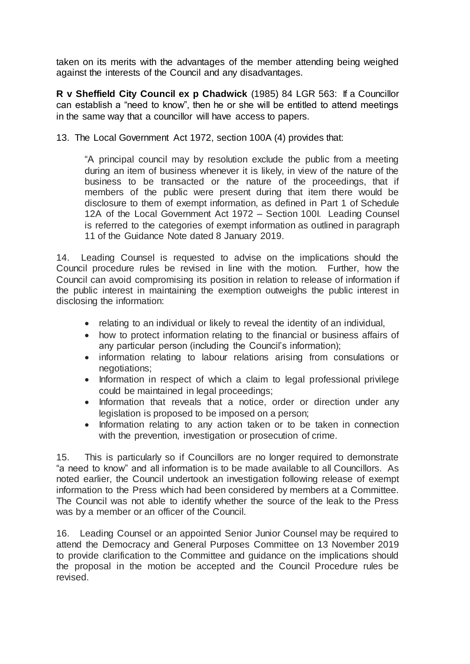taken on its merits with the advantages of the member attending being weighed against the interests of the Council and any disadvantages.

**R v Sheffield City Council ex p Chadwick** (1985) 84 LGR 563: If a Councillor can establish a "need to know", then he or she will be entitled to attend meetings in the same way that a councillor will have access to papers.

13. The Local Government Act 1972, section 100A (4) provides that:

"A principal council may by resolution exclude the public from a meeting during an item of business whenever it is likely, in view of the nature of the business to be transacted or the nature of the proceedings, that if members of the public were present during that item there would be disclosure to them of exempt information, as defined in Part 1 of Schedule 12A of the Local Government Act 1972 – Section 100I. Leading Counsel is referred to the categories of exempt information as outlined in paragraph 11 of the Guidance Note dated 8 January 2019.

14. Leading Counsel is requested to advise on the implications should the Council procedure rules be revised in line with the motion. Further, how the Council can avoid compromising its position in relation to release of information if the public interest in maintaining the exemption outweighs the public interest in disclosing the information:

- relating to an individual or likely to reveal the identity of an individual,
- how to protect information relating to the financial or business affairs of any particular person (including the Council's information);
- information relating to labour relations arising from consulations or negotiations;
- Information in respect of which a claim to legal professional privilege could be maintained in legal proceedings;
- Information that reveals that a notice, order or direction under any legislation is proposed to be imposed on a person;
- Information relating to any action taken or to be taken in connection with the prevention, investigation or prosecution of crime.

15. This is particularly so if Councillors are no longer required to demonstrate "a need to know" and all information is to be made available to all Councillors. As noted earlier, the Council undertook an investigation following release of exempt information to the Press which had been considered by members at a Committee. The Council was not able to identify whether the source of the leak to the Press was by a member or an officer of the Council.

16. Leading Counsel or an appointed Senior Junior Counsel may be required to attend the Democracy and General Purposes Committee on 13 November 2019 to provide clarification to the Committee and guidance on the implications should the proposal in the motion be accepted and the Council Procedure rules be revised.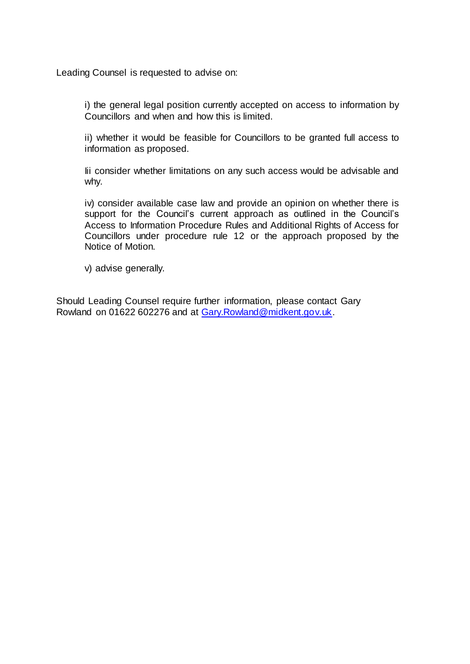Leading Counsel is requested to advise on:

i) the general legal position currently accepted on access to information by Councillors and when and how this is limited.

ii) whether it would be feasible for Councillors to be granted full access to information as proposed.

Iii consider whether limitations on any such access would be advisable and why.

iv) consider available case law and provide an opinion on whether there is support for the Council's current approach as outlined in the Council's Access to Information Procedure Rules and Additional Rights of Access for Councillors under procedure rule 12 or the approach proposed by the Notice of Motion.

v) advise generally.

Should Leading Counsel require further information, please contact Gary Rowland on 01622 602276 and at [Gary.Rowland@midkent.gov.uk.](mailto:Gary.Rowland@midkent.gov.uk)